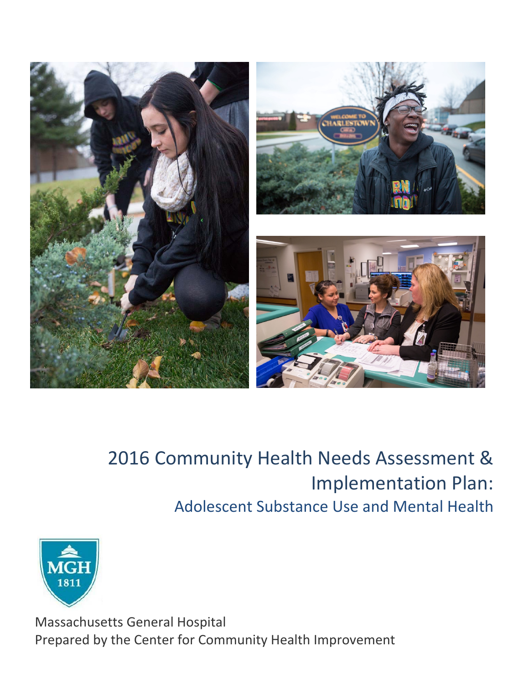

# 2016 Community Health Needs Assessment & Implementation Plan: Adolescent Substance Use and Mental Health



Massachusetts General Hospital Prepared by the Center for Community Health Improvement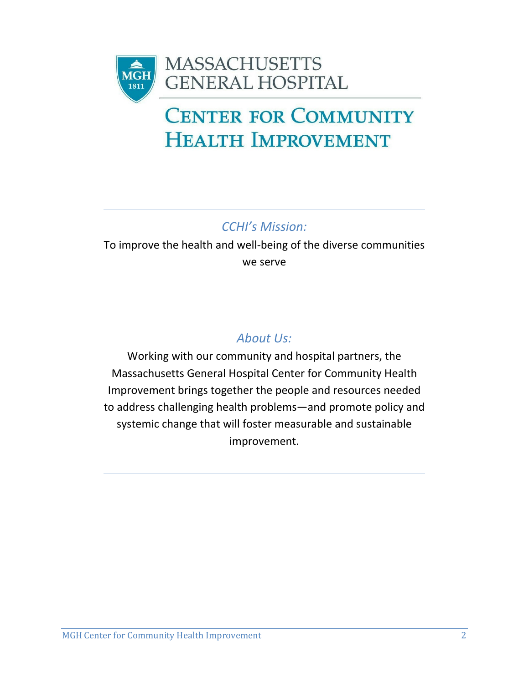

# **CENTER FOR COMMUNITY HEALTH IMPROVEMENT**

*CCHI's Mission:*

To improve the health and well‐being of the diverse communities we serve

# *About Us:*

Working with our community and hospital partners, the Massachusetts General Hospital Center for Community Health Improvement brings together the people and resources needed to address challenging health problems—and promote policy and systemic change that will foster measurable and sustainable improvement.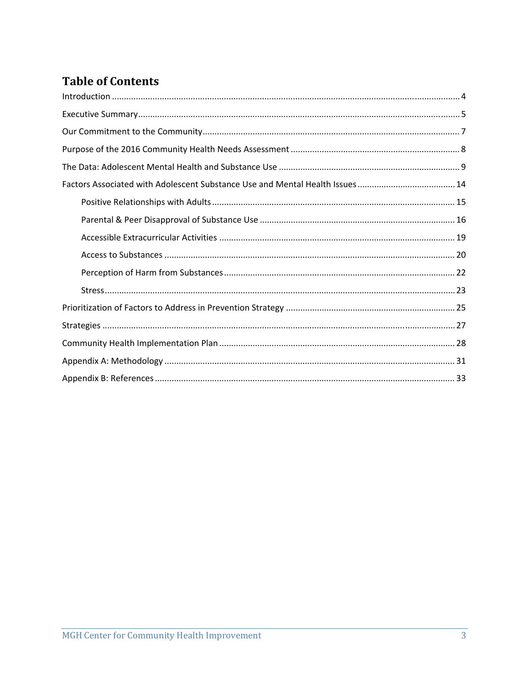## **Table of Contents**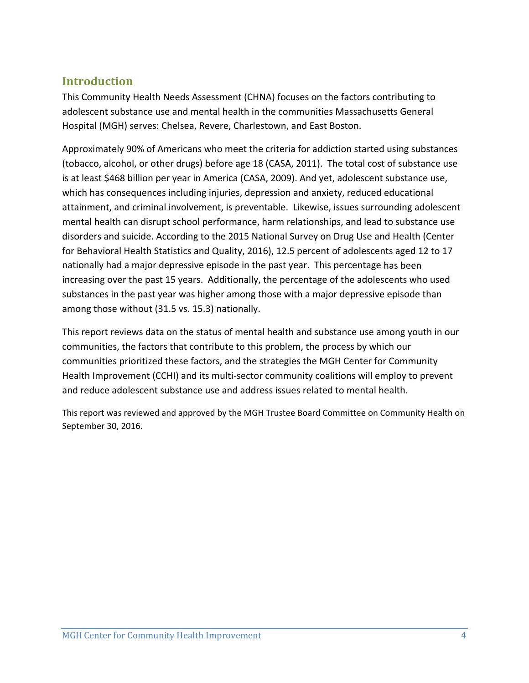## **Introduction**

This Community Health Needs Assessment (CHNA) focuses on the factors contributing to adolescent substance use and mental health in the communities Massachusetts General Hospital (MGH) serves: Chelsea, Revere, Charlestown, and East Boston.

Approximately 90% of Americans who meet the criteria for addiction started using substances (tobacco, alcohol, or other drugs) before age 18 (CASA, 2011). The total cost of substance use is at least \$468 billion per year in America (CASA, 2009). And yet, adolescent substance use, which has consequences including injuries, depression and anxiety, reduced educational attainment, and criminal involvement, is preventable. Likewise, issues surrounding adolescent mental health can disrupt school performance, harm relationships, and lead to substance use disorders and suicide. According to the 2015 National Survey on Drug Use and Health (Center for Behavioral Health Statistics and Quality, 2016), 12.5 percent of adolescents aged 12 to 17 nationally had a major depressive episode in the past year. This percentage has been increasing over the past 15 years. Additionally, the percentage of the adolescents who used substances in the past year was higher among those with a major depressive episode than among those without (31.5 vs. 15.3) nationally.

This report reviews data on the status of mental health and substance use among youth in our communities, the factors that contribute to this problem, the process by which our communities prioritized these factors, and the strategies the MGH Center for Community Health Improvement (CCHI) and its multi‐sector community coalitions will employ to prevent and reduce adolescent substance use and address issues related to mental health.

This report was reviewed and approved by the MGH Trustee Board Committee on Community Health on September 30, 2016.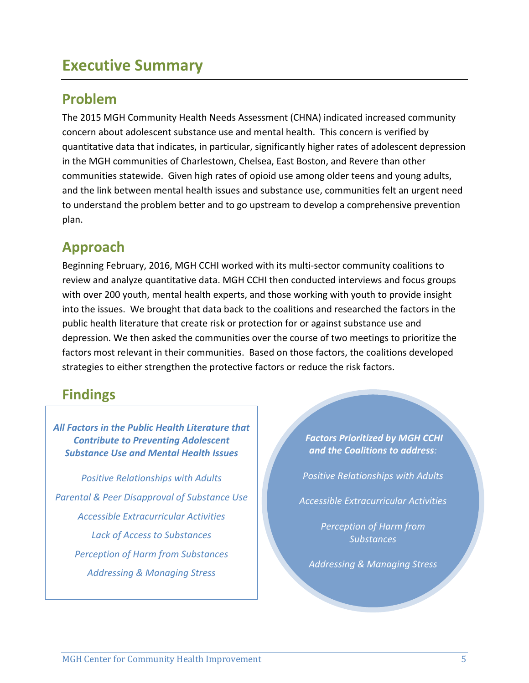# **Executive Summary**

## **Problem**

The 2015 MGH Community Health Needs Assessment (CHNA) indicated increased community concern about adolescent substance use and mental health. This concern is verified by quantitative data that indicates, in particular, significantly higher rates of adolescent depression in the MGH communities of Charlestown, Chelsea, East Boston, and Revere than other communities statewide. Given high rates of opioid use among older teens and young adults, and the link between mental health issues and substance use, communities felt an urgent need to understand the problem better and to go upstream to develop a comprehensive prevention plan.

# **Approach**

Beginning February, 2016, MGH CCHI worked with its multi‐sector community coalitions to review and analyze quantitative data. MGH CCHI then conducted interviews and focus groups with over 200 youth, mental health experts, and those working with youth to provide insight into the issues. We brought that data back to the coalitions and researched the factors in the public health literature that create risk or protection for or against substance use and depression. We then asked the communities over the course of two meetings to prioritize the factors most relevant in their communities. Based on those factors, the coalitions developed strategies to either strengthen the protective factors or reduce the risk factors.

# **Findings**

*All Factors in the Public Health Literature that Contribute to Preventing Adolescent Substance Use and Mental Health Issues* 

*Positive Relationships with Adults Parental & Peer Disapproval of Substance Use Accessible Extracurricular Activities Lack of Access to Substances Perception of Harm from Substances Addressing & Managing Stress*

*Factors Prioritized by MGH CCHI and the Coalitions to address:*

*<u> </u> A <i> <b>A <b> <i> <b> <b> <i><b> <b> <b> <b> <b> <b>* 

*Positive Relationships with Adults*

*Accessible Extracurricular Activities*

*Perception of Harm from Substances*

*Addressing & Managing Stress*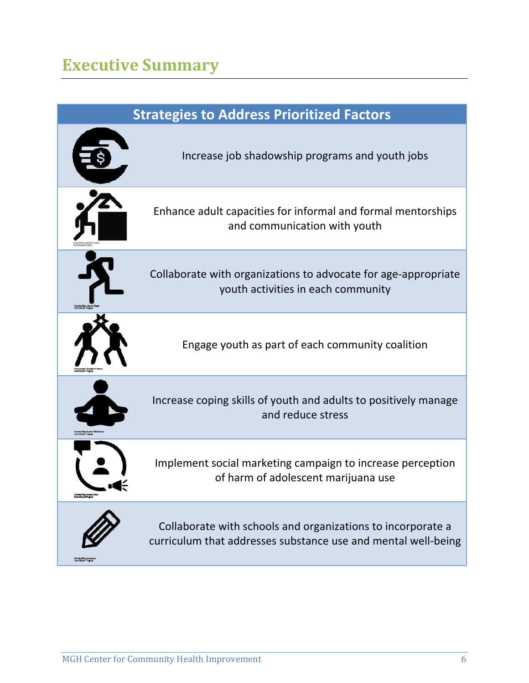# **Executive Summary**

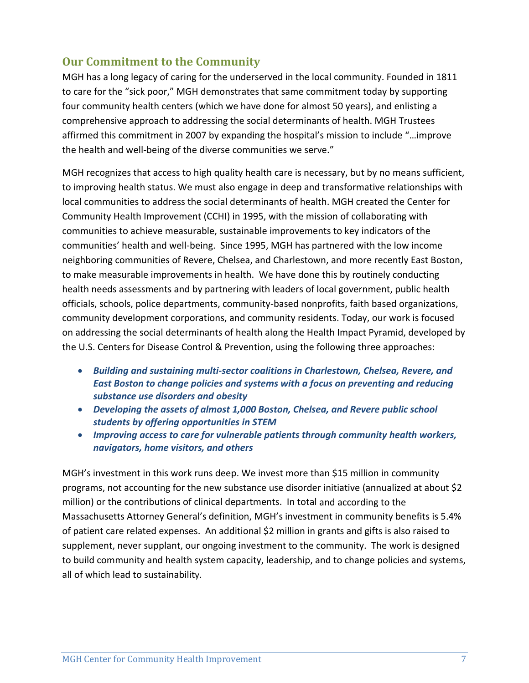## **Our Commitment to the Community**

MGH has a long legacy of caring for the underserved in the local community. Founded in 1811 to care for the "sick poor," MGH demonstrates that same commitment today by supporting four community health centers (which we have done for almost 50 years), and enlisting a comprehensive approach to addressing the social determinants of health. MGH Trustees affirmed this commitment in 2007 by expanding the hospital's mission to include "…improve the health and well‐being of the diverse communities we serve."

MGH recognizes that access to high quality health care is necessary, but by no means sufficient, to improving health status. We must also engage in deep and transformative relationships with local communities to address the social determinants of health. MGH created the Center for Community Health Improvement (CCHI) in 1995, with the mission of collaborating with communities to achieve measurable, sustainable improvements to key indicators of the communities' health and well‐being. Since 1995, MGH has partnered with the low income neighboring communities of Revere, Chelsea, and Charlestown, and more recently East Boston, to make measurable improvements in health. We have done this by routinely conducting health needs assessments and by partnering with leaders of local government, public health officials, schools, police departments, community‐based nonprofits, faith based organizations, community development corporations, and community residents. Today, our work is focused on addressing the social determinants of health along the Health Impact Pyramid, developed by the U.S. Centers for Disease Control & Prevention, using the following three approaches:

- *Building and sustaining multi‐sector coalitions in Charlestown, Chelsea, Revere, and East Boston to change policies and systems with a focus on preventing and reducing substance use disorders and obesity*
- *Developing the assets of almost 1,000 Boston, Chelsea, and Revere public school students by offering opportunities in STEM*
- *Improving access to care for vulnerable patients through community health workers, navigators, home visitors, and others*

MGH's investment in this work runs deep. We invest more than \$15 million in community programs, not accounting for the new substance use disorder initiative (annualized at about \$2 million) or the contributions of clinical departments. In total and according to the Massachusetts Attorney General's definition, MGH's investment in community benefits is 5.4% of patient care related expenses. An additional \$2 million in grants and gifts is also raised to supplement, never supplant, our ongoing investment to the community. The work is designed to build community and health system capacity, leadership, and to change policies and systems, all of which lead to sustainability.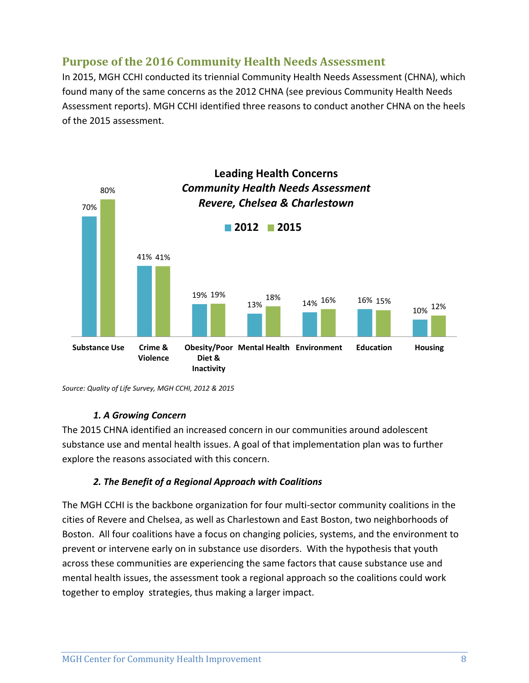## **Purpose of the 2016 Community Health Needs Assessment**

In 2015, MGH CCHI conducted its triennial Community Health Needs Assessment (CHNA), which found many of the same concerns as the 2012 CHNA (see previous Community Health Needs Assessment reports). MGH CCHI identified three reasons to conduct another CHNA on the heels of the 2015 assessment.



*Source: Quality of Life Survey, MGH CCHI, 2012 & 2015*

#### *1. A Growing Concern*

The 2015 CHNA identified an increased concern in our communities around adolescent substance use and mental health issues. A goal of that implementation plan was to further explore the reasons associated with this concern.

#### *2. The Benefit of a Regional Approach with Coalitions*

The MGH CCHI is the backbone organization for four multi‐sector community coalitions in the cities of Revere and Chelsea, as well as Charlestown and East Boston, two neighborhoods of Boston. All four coalitions have a focus on changing policies, systems, and the environment to prevent or intervene early on in substance use disorders. With the hypothesis that youth across these communities are experiencing the same factors that cause substance use and mental health issues, the assessment took a regional approach so the coalitions could work together to employ strategies, thus making a larger impact.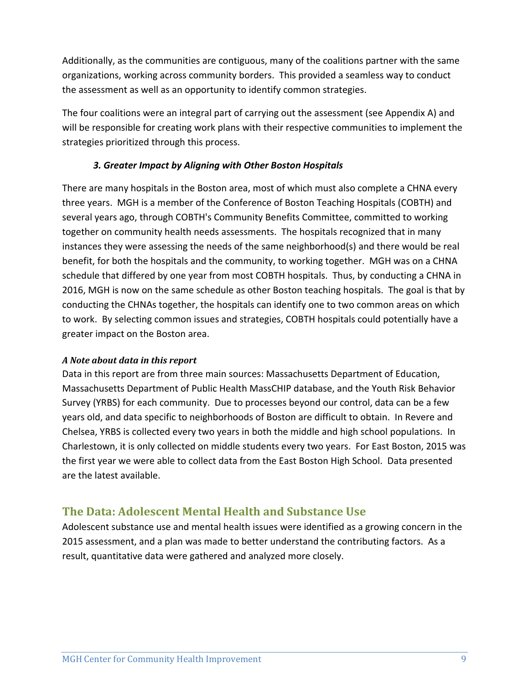Additionally, as the communities are contiguous, many of the coalitions partner with the same organizations, working across community borders. This provided a seamless way to conduct the assessment as well as an opportunity to identify common strategies.

The four coalitions were an integral part of carrying out the assessment (see Appendix A) and will be responsible for creating work plans with their respective communities to implement the strategies prioritized through this process.

#### *3. Greater Impact by Aligning with Other Boston Hospitals*

There are many hospitals in the Boston area, most of which must also complete a CHNA every three years. MGH is a member of the Conference of Boston Teaching Hospitals (COBTH) and several years ago, through COBTH's Community Benefits Committee, committed to working together on community health needs assessments. The hospitals recognized that in many instances they were assessing the needs of the same neighborhood(s) and there would be real benefit, for both the hospitals and the community, to working together. MGH was on a CHNA schedule that differed by one year from most COBTH hospitals. Thus, by conducting a CHNA in 2016, MGH is now on the same schedule as other Boston teaching hospitals. The goal is that by conducting the CHNAs together, the hospitals can identify one to two common areas on which to work. By selecting common issues and strategies, COBTH hospitals could potentially have a greater impact on the Boston area.

#### *A Note about data in this report*

Data in this report are from three main sources: Massachusetts Department of Education, Massachusetts Department of Public Health MassCHIP database, and the Youth Risk Behavior Survey (YRBS) for each community. Due to processes beyond our control, data can be a few years old, and data specific to neighborhoods of Boston are difficult to obtain. In Revere and Chelsea, YRBS is collected every two years in both the middle and high school populations. In Charlestown, it is only collected on middle students every two years. For East Boston, 2015 was the first year we were able to collect data from the East Boston High School. Data presented are the latest available.

## **The Data: Adolescent Mental Health and Substance Use**

Adolescent substance use and mental health issues were identified as a growing concern in the 2015 assessment, and a plan was made to better understand the contributing factors. As a result, quantitative data were gathered and analyzed more closely.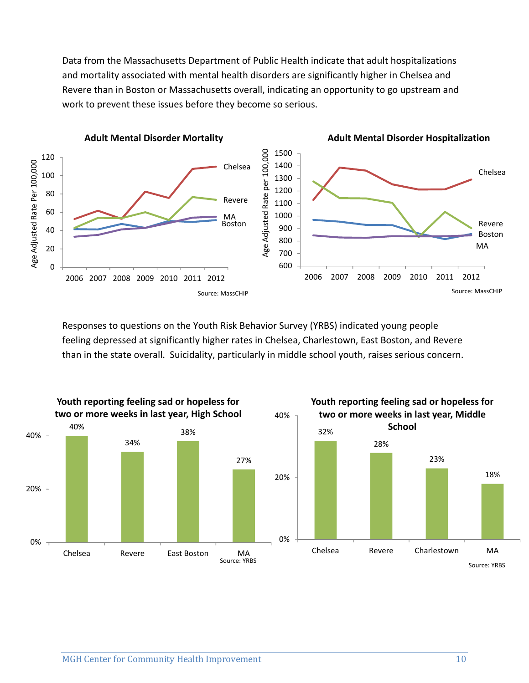Data from the Massachusetts Department of Public Health indicate that adult hospitalizations and mortality associated with mental health disorders are significantly higher in Chelsea and Revere than in Boston or Massachusetts overall, indicating an opportunity to go upstream and work to prevent these issues before they become so serious.



Responses to questions on the Youth Risk Behavior Survey (YRBS) indicated young people feeling depressed at significantly higher rates in Chelsea, Charlestown, East Boston, and Revere than in the state overall. Suicidality, particularly in middle school youth, raises serious concern.

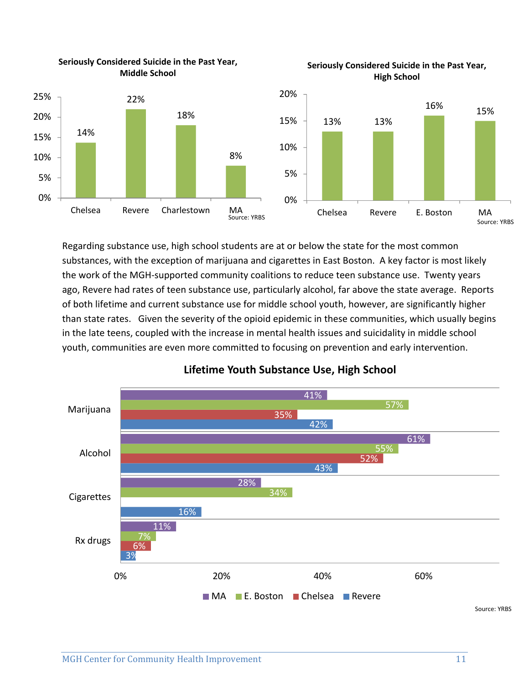

**Seriously Considered Suicide in the Past Year,**

Regarding substance use, high school students are at or below the state for the most common substances, with the exception of marijuana and cigarettes in East Boston. A key factor is most likely the work of the MGH‐supported community coalitions to reduce teen substance use. Twenty years ago, Revere had rates of teen substance use, particularly alcohol, far above the state average. Reports of both lifetime and current substance use for middle school youth, however, are significantly higher than state rates. Given the severity of the opioid epidemic in these communities, which usually begins in the late teens, coupled with the increase in mental health issues and suicidality in middle school youth, communities are even more committed to focusing on prevention and early intervention.



## **Lifetime Youth Substance Use, High School**

**Seriously Considered Suicide in the Past Year,**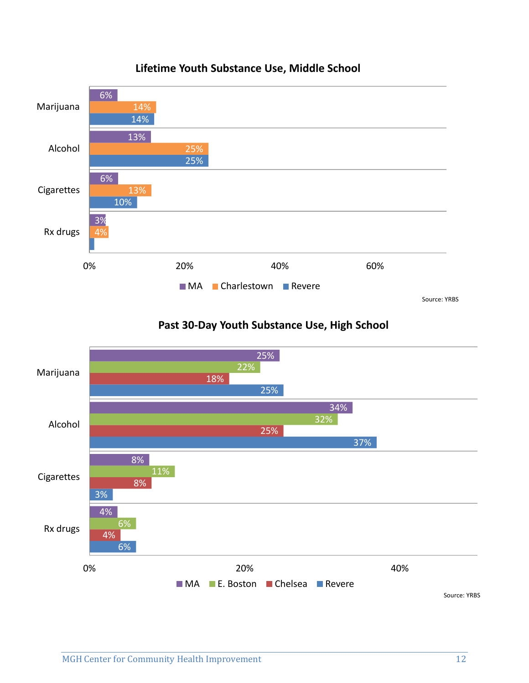

## **Lifetime Youth Substance Use, Middle School**

**Past 30‐Day Youth Substance Use, High School**

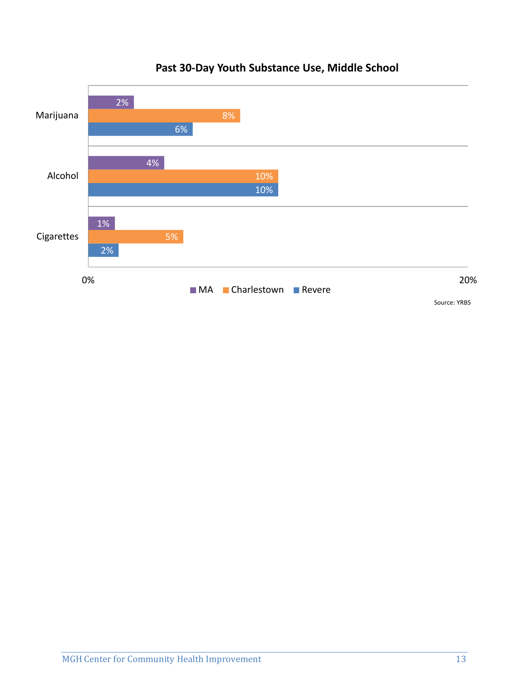

## **Past 30‐Day Youth Substance Use, Middle School**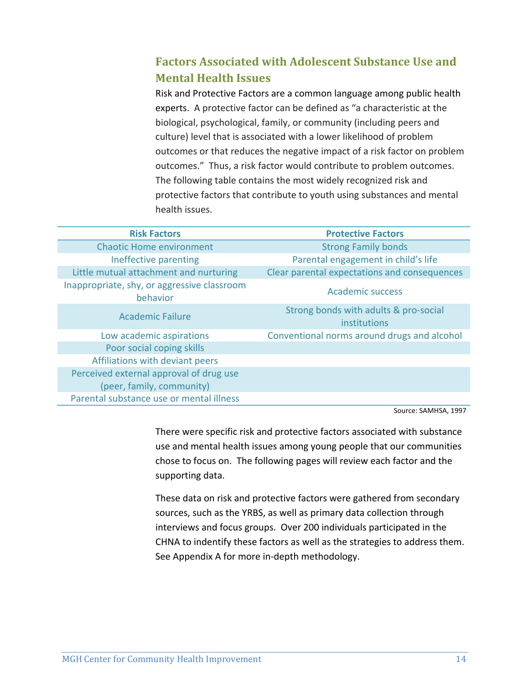## **Factors Associated with Adolescent Substance Use and Mental Health Issues**

Risk and Protective Factors are a common language among public health experts. A protective factor can be defined as "a characteristic at the biological, psychological, family, or community (including peers and culture) level that is associated with a lower likelihood of problem outcomes or that reduces the negative impact of a risk factor on problem outcomes." Thus, a risk factor would contribute to problem outcomes. The following table contains the most widely recognized risk and protective factors that contribute to youth using substances and mental health issues.

| <b>Risk Factors</b>                                     | <b>Protective Factors</b>                             |
|---------------------------------------------------------|-------------------------------------------------------|
| <b>Chaotic Home environment</b>                         | <b>Strong Family bonds</b>                            |
| Ineffective parenting                                   | Parental engagement in child's life                   |
| Little mutual attachment and nurturing                  | Clear parental expectations and consequences          |
| Inappropriate, shy, or aggressive classroom<br>behavior | Academic success                                      |
| <b>Academic Failure</b>                                 | Strong bonds with adults & pro-social<br>institutions |
| Low academic aspirations                                | Conventional norms around drugs and alcohol           |
| Poor social coping skills                               |                                                       |
| Affiliations with deviant peers                         |                                                       |
| Perceived external approval of drug use                 |                                                       |
| (peer, family, community)                               |                                                       |
| Parental substance use or mental illness                |                                                       |

Source: SAMHSA, 1997

There were specific risk and protective factors associated with substance use and mental health issues among young people that our communities chose to focus on. The following pages will review each factor and the supporting data.

These data on risk and protective factors were gathered from secondary sources, such as the YRBS, as well as primary data collection through interviews and focus groups. Over 200 individuals participated in the CHNA to indentify these factors as well as the strategies to address them. See Appendix A for more in‐depth methodology.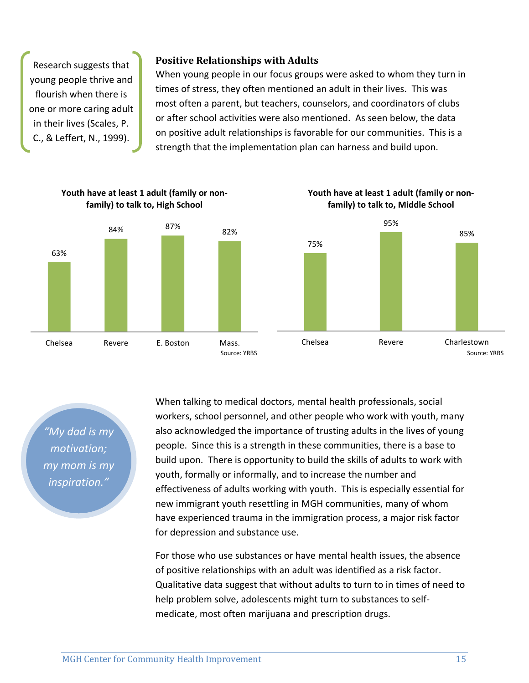Research suggests that young people thrive and flourish when there is one or more caring adult in their lives (Scales, P. C., & Leffert, N., 1999).

#### **Positive Relationships with Adults**

When young people in our focus groups were asked to whom they turn in times of stress, they often mentioned an adult in their lives. This was most often a parent, but teachers, counselors, and coordinators of clubs or after school activities were also mentioned. As seen below, the data on positive adult relationships is favorable for our communities. This is a strength that the implementation plan can harness and build upon.



*"My dad is my motivation; my mom is my inspiration."*

When talking to medical doctors, mental health professionals, social workers, school personnel, and other people who work with youth, many also acknowledged the importance of trusting adults in the lives of young people. Since this is a strength in these communities, there is a base to build upon. There is opportunity to build the skills of adults to work with youth, formally or informally, and to increase the number and effectiveness of adults working with youth. This is especially essential for new immigrant youth resettling in MGH communities, many of whom have experienced trauma in the immigration process, a major risk factor for depression and substance use.

For those who use substances or have mental health issues, the absence of positive relationships with an adult was identified as a risk factor. Qualitative data suggest that without adults to turn to in times of need to help problem solve, adolescents might turn to substances to self‐ medicate, most often marijuana and prescription drugs.

**Youth have at least 1 adult (family or non‐**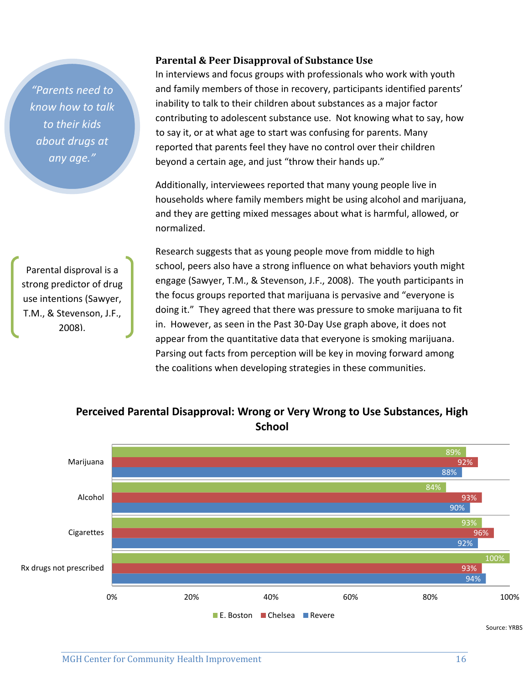*"Parents need to know how to talk to their kids about drugs at any age."*

Parental disproval is a strong predictor of drug use intentions (Sawyer, T.M., & Stevenson, J.F., 2008).

#### **Parental & Peer Disapproval of Substance Use**

In interviews and focus groups with professionals who work with youth and family members of those in recovery, participants identified parents' inability to talk to their children about substances as a major factor contributing to adolescent substance use. Not knowing what to say, how to say it, or at what age to start was confusing for parents. Many reported that parents feel they have no control over their children beyond a certain age, and just "throw their hands up."

Additionally, interviewees reported that many young people live in households where family members might be using alcohol and marijuana, and they are getting mixed messages about what is harmful, allowed, or normalized.

Research suggests that as young people move from middle to high school, peers also have a strong influence on what behaviors youth might engage (Sawyer, T.M., & Stevenson, J.F., 2008). The youth participants in the focus groups reported that marijuana is pervasive and "everyone is doing it." They agreed that there was pressure to smoke marijuana to fit in. However, as seen in the Past 30‐Day Use graph above, it does not appear from the quantitative data that everyone is smoking marijuana. Parsing out facts from perception will be key in moving forward among the coalitions when developing strategies in these communities.



**Perceived Parental Disapproval: Wrong or Very Wrong to Use Substances, High School**

Source: YRBS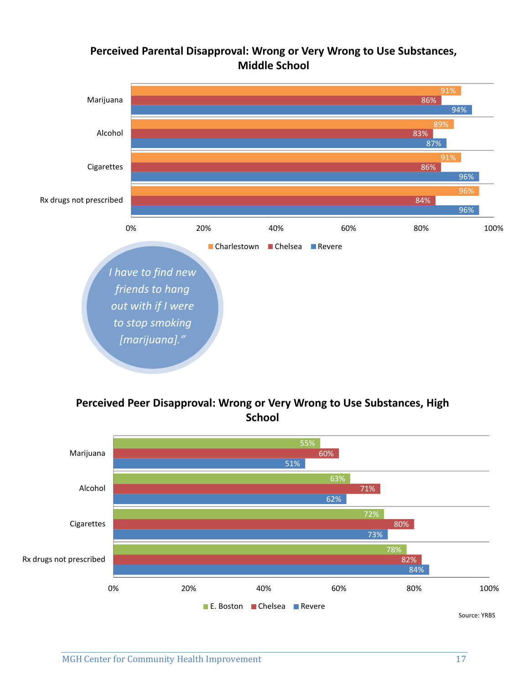## **Perceived Parental Disapproval: Wrong or Very Wrong to Use Substances, Middle School**



## **Perceived Peer Disapproval: Wrong or Very Wrong to Use Substances, High School**

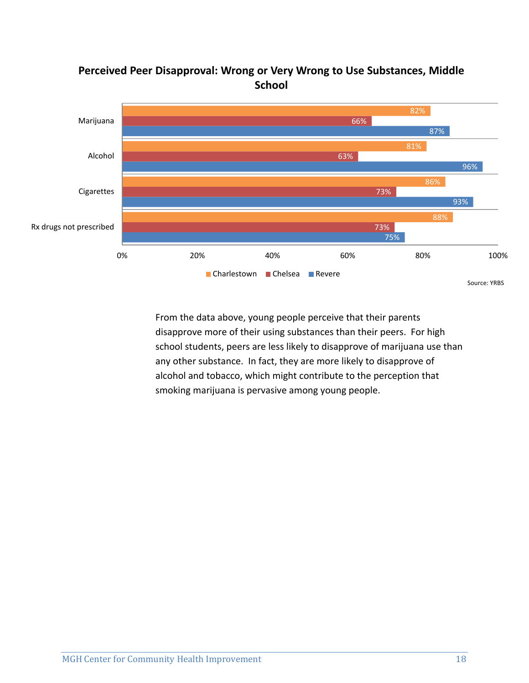

## **Perceived Peer Disapproval: Wrong or Very Wrong to Use Substances, Middle School**

From the data above, young people perceive that their parents disapprove more of their using substances than their peers. For high school students, peers are less likely to disapprove of marijuana use than any other substance. In fact, they are more likely to disapprove of alcohol and tobacco, which might contribute to the perception that smoking marijuana is pervasive among young people.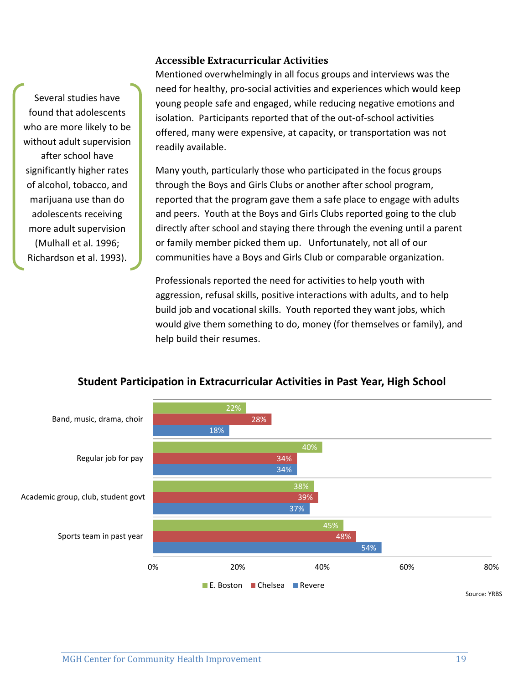#### **Accessible Extracurricular Activities**

Several studies have found that adolescents who are more likely to be without adult supervision after school have significantly higher rates of alcohol, tobacco, and marijuana use than do adolescents receiving more adult supervision (Mulhall et al. 1996; Richardson et al. 1993).

Mentioned overwhelmingly in all focus groups and interviews was the need for healthy, pro‐social activities and experiences which would keep young people safe and engaged, while reducing negative emotions and isolation. Participants reported that of the out‐of‐school activities offered, many were expensive, at capacity, or transportation was not readily available.

Many youth, particularly those who participated in the focus groups through the Boys and Girls Clubs or another after school program, reported that the program gave them a safe place to engage with adults and peers. Youth at the Boys and Girls Clubs reported going to the club directly after school and staying there through the evening until a parent or family member picked them up. Unfortunately, not all of our communities have a Boys and Girls Club or comparable organization.

Professionals reported the need for activities to help youth with aggression, refusal skills, positive interactions with adults, and to help build job and vocational skills. Youth reported they want jobs, which would give them something to do, money (for themselves or family), and help build their resumes.



#### **Student Participation in Extracurricular Activities in Past Year, High School**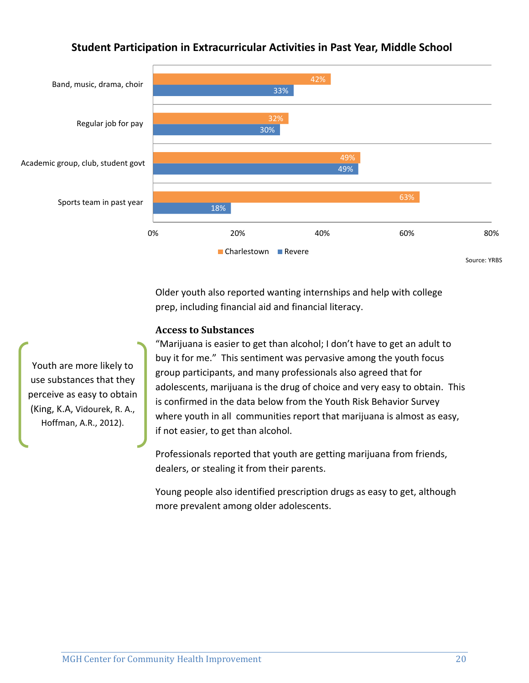## 18% 49% 30% 33% 49% 32% 42% Sports team in past year Academic group, club, student govt Regular job for pay Band, music, drama, choir

#### **Student Participation in Extracurricular Activities in Past Year, Middle School**

0% 20% 40% 60% 80% Charlestown **Revere** Source: YRBS

Older youth also reported wanting internships and help with college prep, including financial aid and financial literacy.

#### **Access to Substances**

"Marijuana is easier to get than alcohol; I don't have to get an adult to buy it for me." This sentiment was pervasive among the youth focus group participants, and many professionals also agreed that for adolescents, marijuana is the drug of choice and very easy to obtain. This is confirmed in the data below from the Youth Risk Behavior Survey where youth in all communities report that marijuana is almost as easy, if not easier, to get than alcohol.

Professionals reported that youth are getting marijuana from friends, dealers, or stealing it from their parents.

Young people also identified prescription drugs as easy to get, although more prevalent among older adolescents.

Youth are more likely to use substances that they perceive as easy to obtain (King, K.A, Vidourek, R. A., Hoffman, A.R., 2012).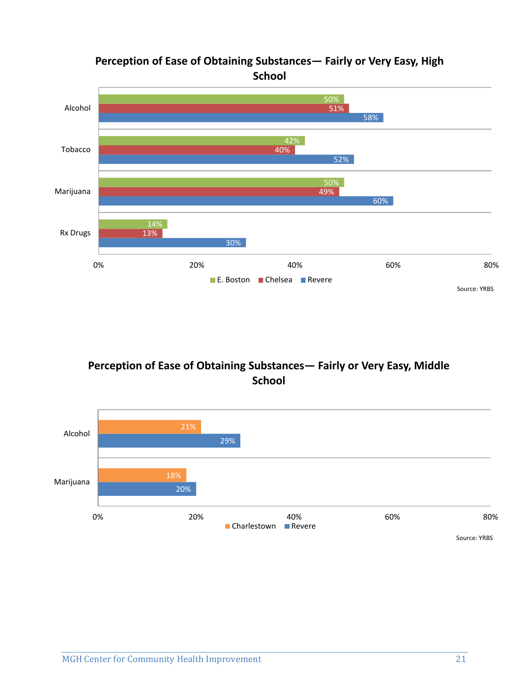## **Perception of Ease of Obtaining Substances— Fairly or Very Easy, High School**



## **Perception of Ease of Obtaining Substances— Fairly or Very Easy, Middle School**

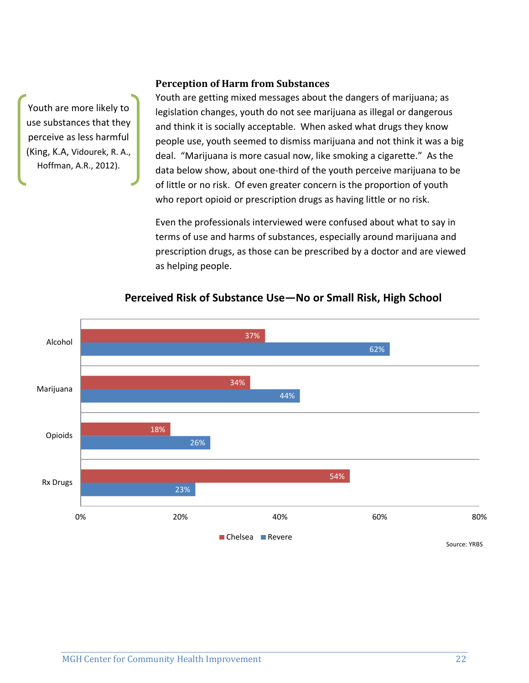Youth are more likely to use substances that they perceive as less harmful (King, K.A, Vidourek, R. A., Hoffman, A.R., 2012).

#### **Perception of Harm from Substances**

Youth are getting mixed messages about the dangers of marijuana; as legislation changes, youth do not see marijuana as illegal or dangerous and think it is socially acceptable. When asked what drugs they know people use, youth seemed to dismiss marijuana and not think it was a big deal. "Marijuana is more casual now, like smoking a cigarette." As the data below show, about one‐third of the youth perceive marijuana to be of little or no risk. Of even greater concern is the proportion of youth who report opioid or prescription drugs as having little or no risk.

Even the professionals interviewed were confused about what to say in terms of use and harms of substances, especially around marijuana and prescription drugs, as those can be prescribed by a doctor and are viewed as helping people.



#### **Perceived Risk of Substance Use—No or Small Risk, High School**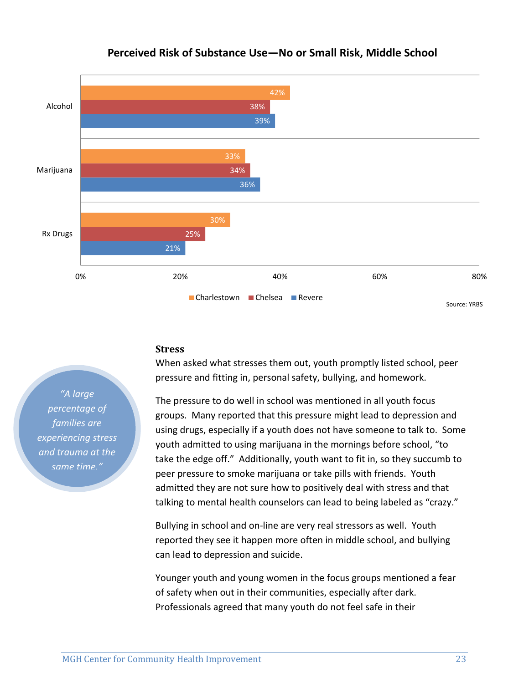

## **Perceived Risk of Substance Use—No or Small Risk, Middle School**

#### **Stress**

When asked what stresses them out, youth promptly listed school, peer pressure and fitting in, personal safety, bullying, and homework.

The pressure to do well in school was mentioned in all youth focus groups. Many reported that this pressure might lead to depression and using drugs, especially if a youth does not have someone to talk to. Some youth admitted to using marijuana in the mornings before school, "to take the edge off." Additionally, youth want to fit in, so they succumb to peer pressure to smoke marijuana or take pills with friends. Youth admitted they are not sure how to positively deal with stress and that talking to mental health counselors can lead to being labeled as "crazy."

Bullying in school and on‐line are very real stressors as well. Youth reported they see it happen more often in middle school, and bullying can lead to depression and suicide.

Younger youth and young women in the focus groups mentioned a fear of safety when out in their communities, especially after dark. Professionals agreed that many youth do not feel safe in their

*"A large percentage of families are experiencing stress and trauma at the same time."*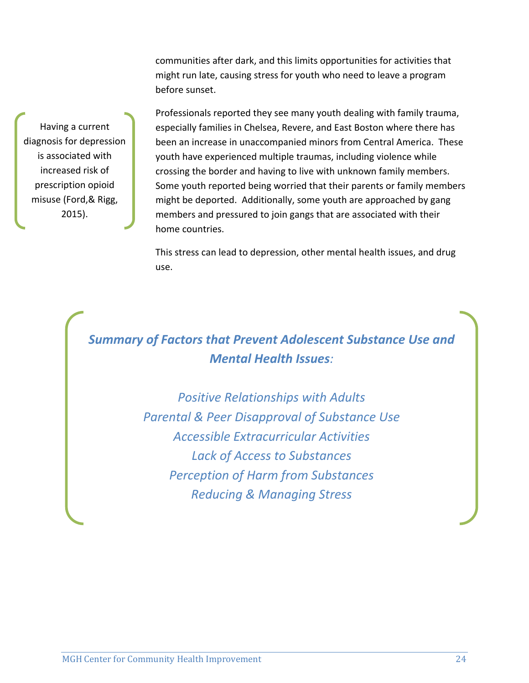communities after dark, and this limits opportunities for activities that might run late, causing stress for youth who need to leave a program before sunset.

Professionals reported they see many youth dealing with family trauma, especially families in Chelsea, Revere, and East Boston where there has been an increase in unaccompanied minors from Central America. These youth have experienced multiple traumas, including violence while crossing the border and having to live with unknown family members. Some youth reported being worried that their parents or family members might be deported. Additionally, some youth are approached by gang members and pressured to join gangs that are associated with their home countries.

This stress can lead to depression, other mental health issues, and drug use.

# *Summary of Factors that Prevent Adolescent Substance Use and Mental Health Issues:*

*Positive Relationships with Adults Parental & Peer Disapproval of Substance Use Accessible Extracurricular Activities Lack of Access to Substances Perception of Harm from Substances Reducing & Managing Stress*

Having a current diagnosis for depression is associated with increased risk of prescription opioid misuse (Ford,& Rigg, 2015).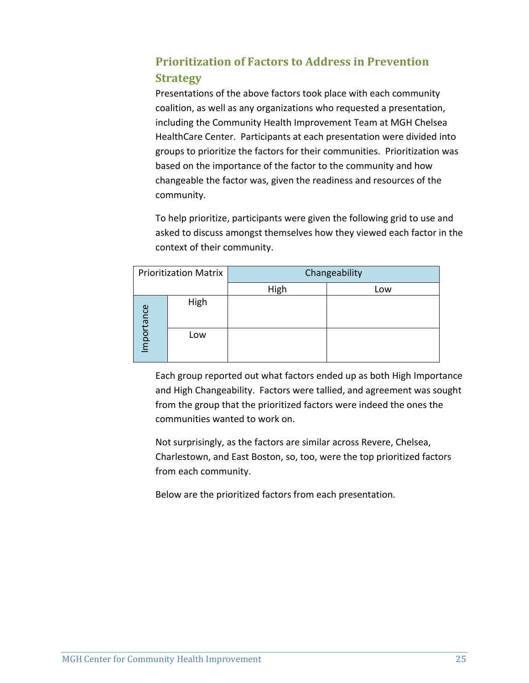## **Prioritization of Factors to Address in Prevention Strategy**

Presentations of the above factors took place with each community coalition, as well as any organizations who requested a presentation, including the Community Health Improvement Team at MGH Chelsea HealthCare Center. Participants at each presentation were divided into groups to prioritize the factors for their communities. Prioritization was based on the importance of the factor to the community and how changeable the factor was, given the readiness and resources of the community.

To help prioritize, participants were given the following grid to use and asked to discuss amongst themselves how they viewed each factor in the context of their community.

|           | <b>Prioritization Matrix</b> | Changeability |     |
|-----------|------------------------------|---------------|-----|
|           |                              | High          | Low |
| mportance | High                         |               |     |
|           | Low                          |               |     |

Each group reported out what factors ended up as both High Importance and High Changeability. Factors were tallied, and agreement was sought from the group that the prioritized factors were indeed the ones the communities wanted to work on.

Not surprisingly, as the factors are similar across Revere, Chelsea, Charlestown, and East Boston, so, too, were the top prioritized factors from each community.

Below are the prioritized factors from each presentation.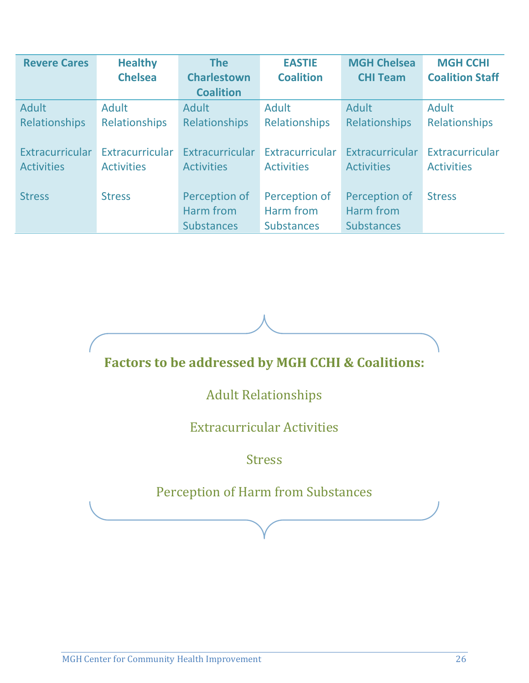| <b>Revere Cares</b> | <b>Healthy</b>    | <b>The</b>         | <b>EASTIE</b>        | <b>MGH Chelsea</b> | <b>MGH CCHI</b>        |
|---------------------|-------------------|--------------------|----------------------|--------------------|------------------------|
|                     | <b>Chelsea</b>    | <b>Charlestown</b> | <b>Coalition</b>     | <b>CHI Team</b>    | <b>Coalition Staff</b> |
|                     |                   | <b>Coalition</b>   |                      |                    |                        |
| Adult               | <b>Adult</b>      | Adult              | Adult                | Adult              | <b>Adult</b>           |
| Relationships       | Relationships     | Relationships      | <b>Relationships</b> | Relationships      | Relationships          |
|                     |                   |                    |                      |                    |                        |
| Extracurricular     | Extracurricular   | Extracurricular    | Extracurricular      | Extracurricular    | Extracurricular        |
| <b>Activities</b>   | <b>Activities</b> | <b>Activities</b>  | <b>Activities</b>    | <b>Activities</b>  | <b>Activities</b>      |
|                     |                   |                    |                      |                    |                        |
| <b>Stress</b>       | <b>Stress</b>     | Perception of      | Perception of        | Perception of      | <b>Stress</b>          |
|                     |                   | Harm from          | Harm from            | Harm from          |                        |
|                     |                   | <b>Substances</b>  | <b>Substances</b>    | <b>Substances</b>  |                        |

# **Factors to be addressed by MGH CCHI & Coalitions:**

# **Adult Relationships**

## **Extracurricular Activities**

## Stress

# Perception of Harm from Substances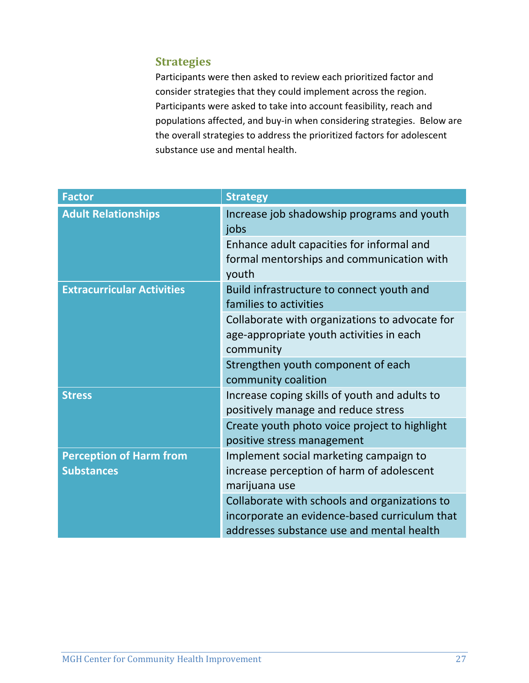## **Strategies**

Participants were then asked to review each prioritized factor and consider strategies that they could implement across the region. Participants were asked to take into account feasibility, reach and populations affected, and buy‐in when considering strategies. Below are the overall strategies to address the prioritized factors for adolescent substance use and mental health.

| <b>Factor</b>                                       | <b>Strategy</b>                                                                                                                             |
|-----------------------------------------------------|---------------------------------------------------------------------------------------------------------------------------------------------|
| <b>Adult Relationships</b>                          | Increase job shadowship programs and youth<br>jobs                                                                                          |
|                                                     | Enhance adult capacities for informal and<br>formal mentorships and communication with<br>youth                                             |
| <b>Extracurricular Activities</b>                   | Build infrastructure to connect youth and<br>families to activities                                                                         |
|                                                     | Collaborate with organizations to advocate for<br>age-appropriate youth activities in each<br>community                                     |
|                                                     | Strengthen youth component of each<br>community coalition                                                                                   |
| <b>Stress</b>                                       | Increase coping skills of youth and adults to<br>positively manage and reduce stress                                                        |
|                                                     | Create youth photo voice project to highlight<br>positive stress management                                                                 |
| <b>Perception of Harm from</b><br><b>Substances</b> | Implement social marketing campaign to<br>increase perception of harm of adolescent<br>marijuana use                                        |
|                                                     | Collaborate with schools and organizations to<br>incorporate an evidence-based curriculum that<br>addresses substance use and mental health |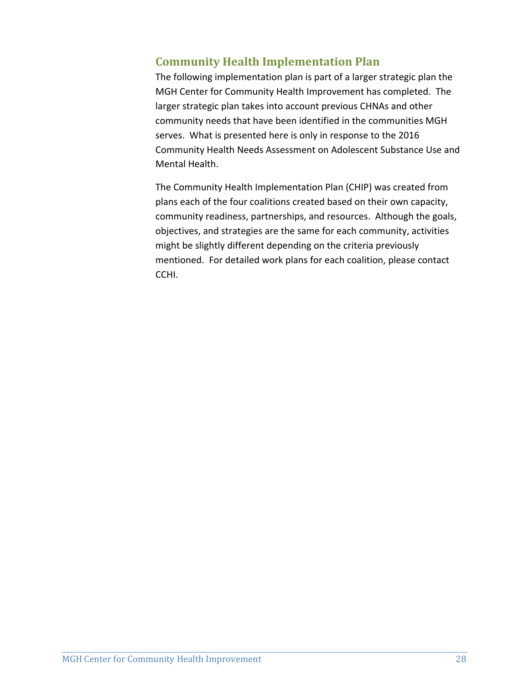## **Community Health Implementation Plan**

The following implementation plan is part of a larger strategic plan the MGH Center for Community Health Improvement has completed. The larger strategic plan takes into account previous CHNAs and other community needs that have been identified in the communities MGH serves. What is presented here is only in response to the 2016 Community Health Needs Assessment on Adolescent Substance Use and Mental Health.

The Community Health Implementation Plan (CHIP) was created from plans each of the four coalitions created based on their own capacity, community readiness, partnerships, and resources. Although the goals, objectives, and strategies are the same for each community, activities might be slightly different depending on the criteria previously mentioned. For detailed work plans for each coalition, please contact CCHI.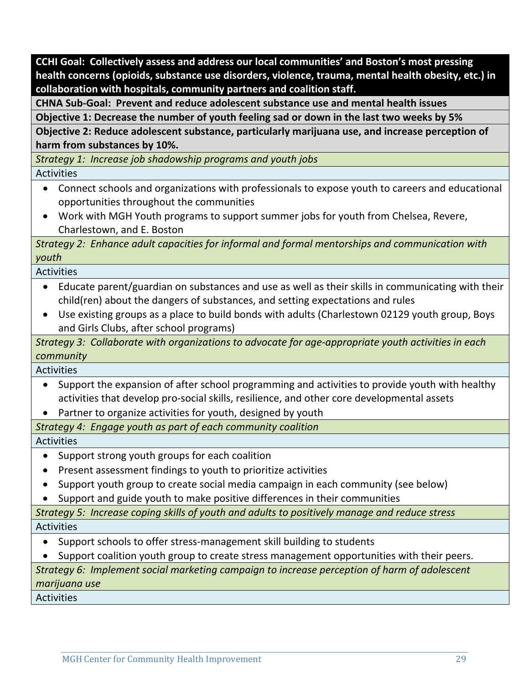**CCHI Goal: Collectively assess and address our local communities' and Boston's most pressing health concerns (opioids, substance use disorders, violence, trauma, mental health obesity, etc.) in collaboration with hospitals, community partners and coalition staff.**

**CHNA Sub‐Goal: Prevent and reduce adolescent substance use and mental health issues**

Objective 1: Decrease the number of youth feeling sad or down in the last two weeks by 5%

**Objective 2: Reduce adolescent substance, particularly marijuana use, and increase perception of harm from substances by 10%.**

*Strategy 1: Increase job shadowship programs and youth jobs* **Activities** 

- Connect schools and organizations with professionals to expose youth to careers and educational
	- opportunities throughout the communities
	- Work with MGH Youth programs to support summer jobs for youth from Chelsea, Revere, Charlestown, and E. Boston

*Strategy 2: Enhance adult capacities for informal and formal mentorships and communication with youth*

Activities

- Educate parent/guardian on substances and use as well as their skills in communicating with their child(ren) about the dangers of substances, and setting expectations and rules
- Use existing groups as a place to build bonds with adults (Charlestown 02129 youth group, Boys and Girls Clubs, after school programs)

*Strategy 3: Collaborate with organizations to advocate for age‐appropriate youth activities in each community*

Activities

- Support the expansion of after school programming and activities to provide youth with healthy activities that develop pro‐social skills, resilience, and other core developmental assets
- Partner to organize activities for youth, designed by youth

*Strategy 4: Engage youth as part of each community coalition*

Activities

- Support strong youth groups for each coalition
- Present assessment findings to youth to prioritize activities
- Support youth group to create social media campaign in each community (see below)
- Support and guide youth to make positive differences in their communities

*Strategy 5: Increase coping skills of youth and adults to positively manage and reduce stress* Activities

- Support schools to offer stress-management skill building to students
- Support coalition youth group to create stress management opportunities with their peers.

## *Strategy 6: Implement social marketing campaign to increase perception of harm of adolescent marijuana use*

Activities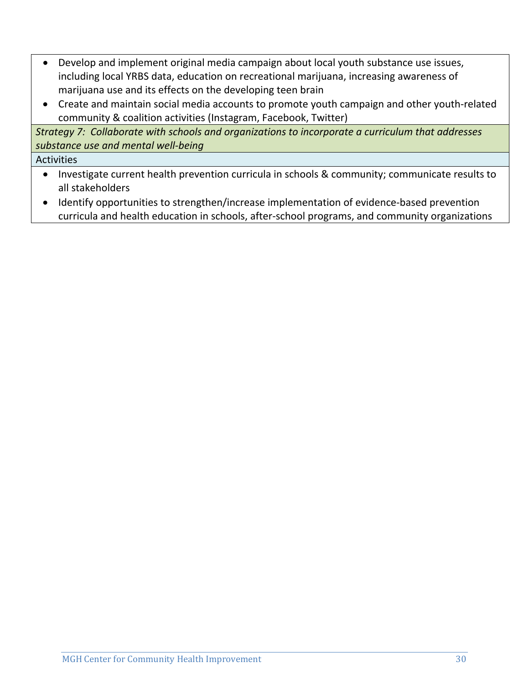- Develop and implement original media campaign about local youth substance use issues, including local YRBS data, education on recreational marijuana, increasing awareness of marijuana use and its effects on the developing teen brain
- Create and maintain social media accounts to promote youth campaign and other youth‐related community & coalition activities (Instagram, Facebook, Twitter)

*Strategy 7: Collaborate with schools and organizations to incorporate a curriculum that addresses substance use and mental well‐being*

**Activities** 

- Investigate current health prevention curricula in schools & community; communicate results to all stakeholders
- Identify opportunities to strengthen/increase implementation of evidence-based prevention curricula and health education in schools, after‐school programs, and community organizations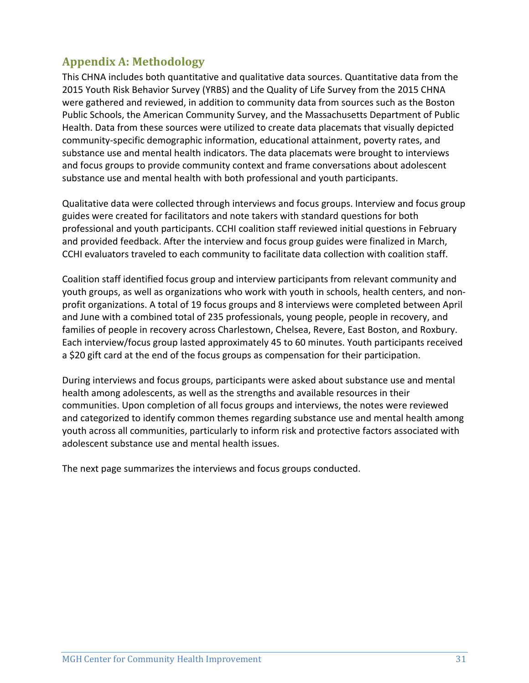## **Appendix A: Methodology**

This CHNA includes both quantitative and qualitative data sources. Quantitative data from the 2015 Youth Risk Behavior Survey (YRBS) and the Quality of Life Survey from the 2015 CHNA were gathered and reviewed, in addition to community data from sources such as the Boston Public Schools, the American Community Survey, and the Massachusetts Department of Public Health. Data from these sources were utilized to create data placemats that visually depicted community‐specific demographic information, educational attainment, poverty rates, and substance use and mental health indicators. The data placemats were brought to interviews and focus groups to provide community context and frame conversations about adolescent substance use and mental health with both professional and youth participants.

Qualitative data were collected through interviews and focus groups. Interview and focus group guides were created for facilitators and note takers with standard questions for both professional and youth participants. CCHI coalition staff reviewed initial questions in February and provided feedback. After the interview and focus group guides were finalized in March, CCHI evaluators traveled to each community to facilitate data collection with coalition staff.

Coalition staff identified focus group and interview participants from relevant community and youth groups, as well as organizations who work with youth in schools, health centers, and non‐ profit organizations. A total of 19 focus groups and 8 interviews were completed between April and June with a combined total of 235 professionals, young people, people in recovery, and families of people in recovery across Charlestown, Chelsea, Revere, East Boston, and Roxbury. Each interview/focus group lasted approximately 45 to 60 minutes. Youth participants received a \$20 gift card at the end of the focus groups as compensation for their participation.

During interviews and focus groups, participants were asked about substance use and mental health among adolescents, as well as the strengths and available resources in their communities. Upon completion of all focus groups and interviews, the notes were reviewed and categorized to identify common themes regarding substance use and mental health among youth across all communities, particularly to inform risk and protective factors associated with adolescent substance use and mental health issues.

The next page summarizes the interviews and focus groups conducted.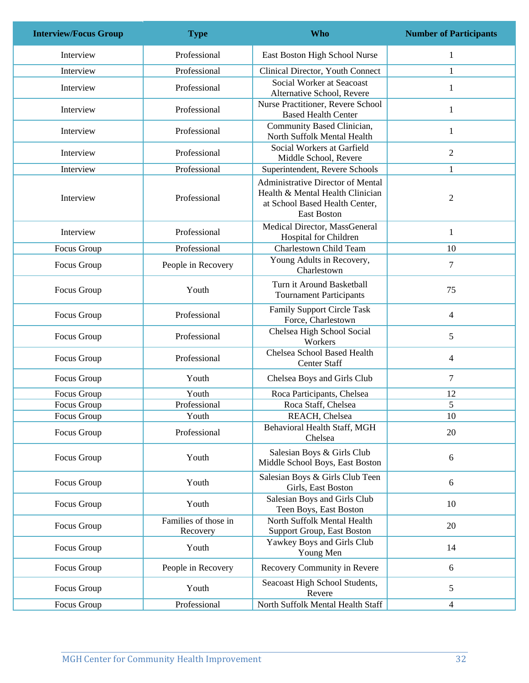| <b>Interview/Focus Group</b> | <b>Type</b>                      | <b>Who</b>                                                                                                                    | <b>Number of Participants</b> |
|------------------------------|----------------------------------|-------------------------------------------------------------------------------------------------------------------------------|-------------------------------|
| Interview                    | Professional                     | East Boston High School Nurse                                                                                                 | $\mathbf{1}$                  |
| Interview                    | Professional                     | Clinical Director, Youth Connect                                                                                              | 1                             |
| Interview                    | Professional                     | Social Worker at Seacoast<br>Alternative School, Revere                                                                       | $\mathbf{1}$                  |
| Interview                    | Professional                     | Nurse Practitioner, Revere School<br><b>Based Health Center</b>                                                               | $\mathbf{1}$                  |
| Interview                    | Professional                     | Community Based Clinician,<br>North Suffolk Mental Health                                                                     | $\mathbf{1}$                  |
| Interview                    | Professional                     | Social Workers at Garfield<br>Middle School, Revere                                                                           | $\mathfrak{2}$                |
| Interview                    | Professional                     | Superintendent, Revere Schools                                                                                                | $\mathbf{1}$                  |
| Interview                    | Professional                     | Administrative Director of Mental<br>Health & Mental Health Clinician<br>at School Based Health Center,<br><b>East Boston</b> | $\sqrt{2}$                    |
| Interview                    | Professional                     | Medical Director, MassGeneral<br>Hospital for Children                                                                        | $\mathbf{1}$                  |
| Focus Group                  | Professional                     | Charlestown Child Team                                                                                                        | 10                            |
| Focus Group                  | People in Recovery               | Young Adults in Recovery,<br>Charlestown                                                                                      | $\tau$                        |
| Focus Group                  | Youth                            | Turn it Around Basketball<br><b>Tournament Participants</b>                                                                   | 75                            |
| Focus Group                  | Professional                     | <b>Family Support Circle Task</b><br>Force, Charlestown                                                                       | 4                             |
| Focus Group                  | Professional                     | Chelsea High School Social<br>Workers                                                                                         | 5                             |
| Focus Group                  | Professional                     | Chelsea School Based Health<br><b>Center Staff</b>                                                                            | 4                             |
| Focus Group                  | Youth                            | Chelsea Boys and Girls Club                                                                                                   | $\overline{7}$                |
| Focus Group                  | Youth                            | Roca Participants, Chelsea                                                                                                    | 12                            |
| Focus Group                  | Professional                     | Roca Staff, Chelsea                                                                                                           | 5                             |
| Focus Group                  | Youth                            | REACH, Chelsea                                                                                                                | 10                            |
| Focus Group                  | Professional                     | Behavioral Health Staff, MGH<br>Chelsea                                                                                       | 20                            |
| Focus Group                  | Youth                            | Salesian Boys & Girls Club<br>Middle School Boys, East Boston                                                                 | 6                             |
| Focus Group                  | Youth                            | Salesian Boys & Girls Club Teen<br>Girls, East Boston                                                                         | 6                             |
| Focus Group                  | Youth                            | Salesian Boys and Girls Club<br>Teen Boys, East Boston                                                                        | 10                            |
| Focus Group                  | Families of those in<br>Recovery | North Suffolk Mental Health<br>Support Group, East Boston                                                                     | 20                            |
| Focus Group                  | Youth                            | Yawkey Boys and Girls Club<br>Young Men                                                                                       | 14                            |
| Focus Group                  | People in Recovery               | Recovery Community in Revere                                                                                                  | 6                             |
| Focus Group                  | Youth                            | Seacoast High School Students,<br>Revere                                                                                      | 5                             |
| Focus Group                  | Professional                     | North Suffolk Mental Health Staff                                                                                             | 4                             |